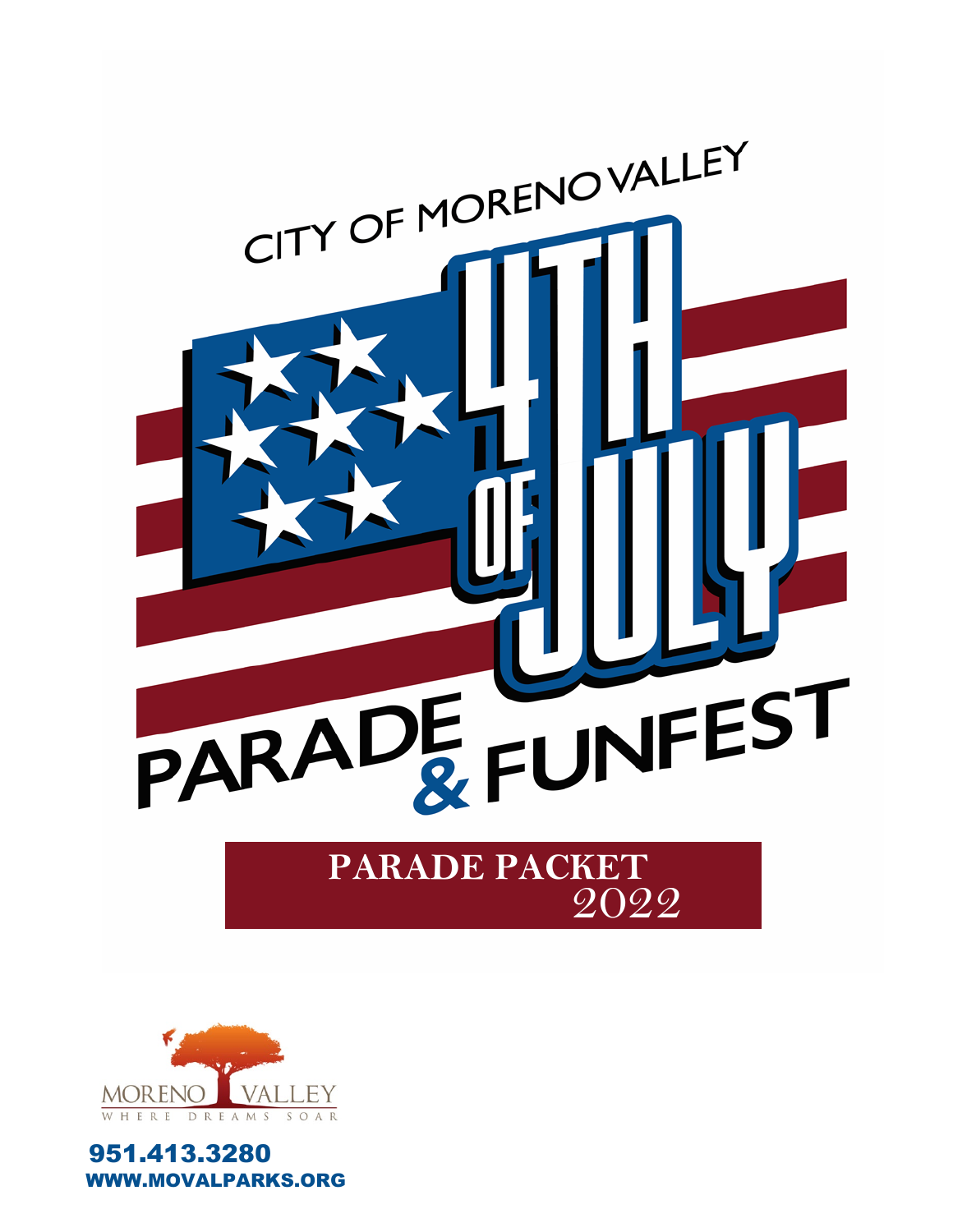



951.413.3280 **VW.MOVALPARKS.ORG**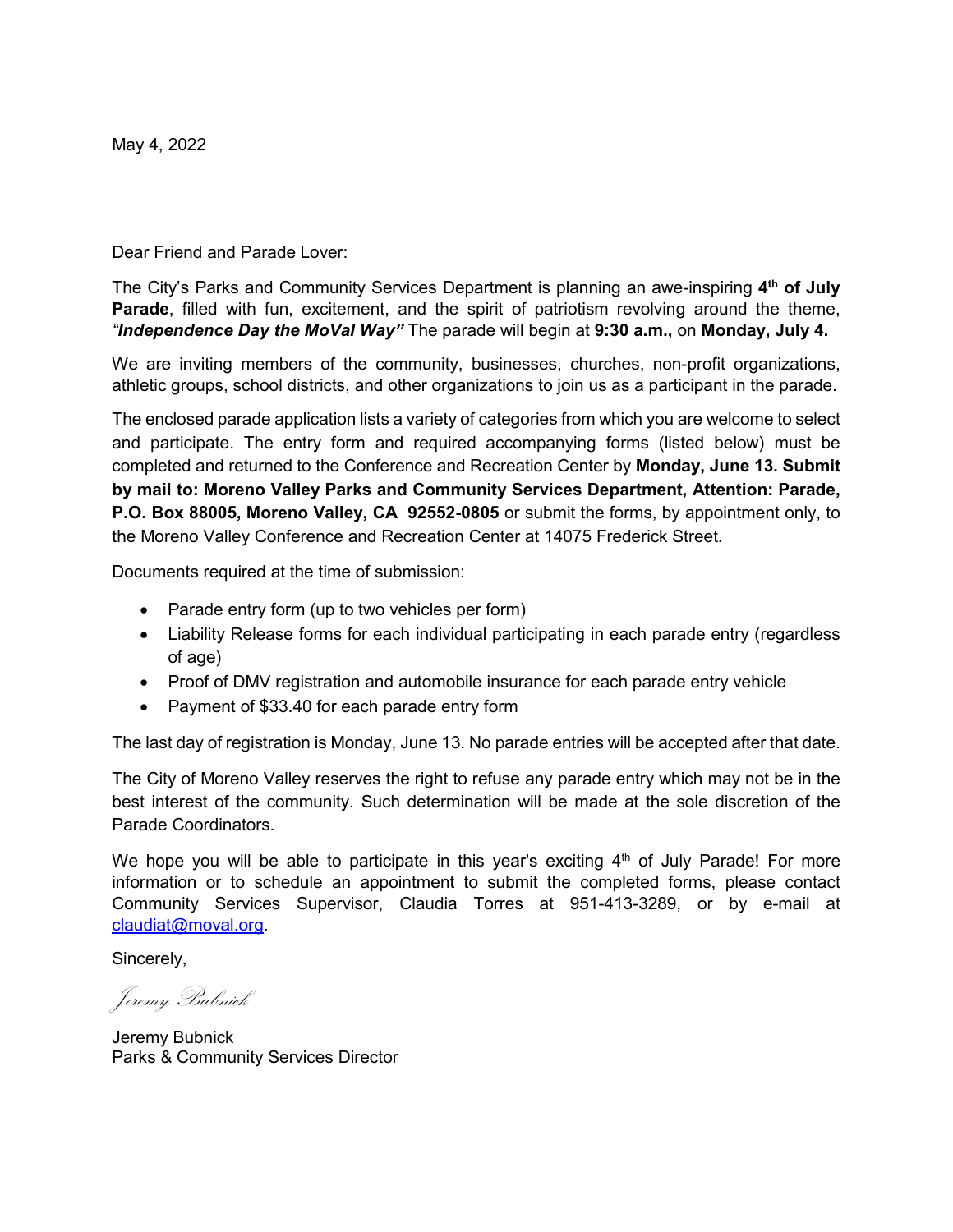May 4, 2022

Dear Friend and Parade Lover:

The City's Parks and Community Services Department is planning an awe-inspiring **4th of July Parade**, filled with fun, excitement, and the spirit of patriotism revolving around the theme, *"Independence Day the MoVal Way"* The parade will begin at **9:30 a.m.,** on **Monday, July 4.**

We are inviting members of the community, businesses, churches, non-profit organizations, athletic groups, school districts, and other organizations to join us as a participant in the parade.

The enclosed parade application lists a variety of categories from which you are welcome to select and participate. The entry form and required accompanying forms (listed below) must be completed and returned to the Conference and Recreation Center by **Monday, June 13. Submit by mail to: Moreno Valley Parks and Community Services Department, Attention: Parade, P.O. Box 88005, Moreno Valley, CA 92552-0805** or submit the forms, by appointment only, to the Moreno Valley Conference and Recreation Center at 14075 Frederick Street.

Documents required at the time of submission:

- Parade entry form (up to two vehicles per form)
- Liability Release forms for each individual participating in each parade entry (regardless of age)
- Proof of DMV registration and automobile insurance for each parade entry vehicle
- Payment of \$33.40 for each parade entry form

The last day of registration is Monday, June 13. No parade entries will be accepted after that date.

The City of Moreno Valley reserves the right to refuse any parade entry which may not be in the best interest of the community. Such determination will be made at the sole discretion of the Parade Coordinators.

We hope you will be able to participate in this year's exciting  $4<sup>th</sup>$  of July Parade! For more information or to schedule an appointment to submit the completed forms, please contact Community Services Supervisor, Claudia Torres at 951-413-3289, or by e-mail at claudiat@moval.org.

Sincerely,

Jeremy Bubnick

Jeremy Bubnick Parks & Community Services Director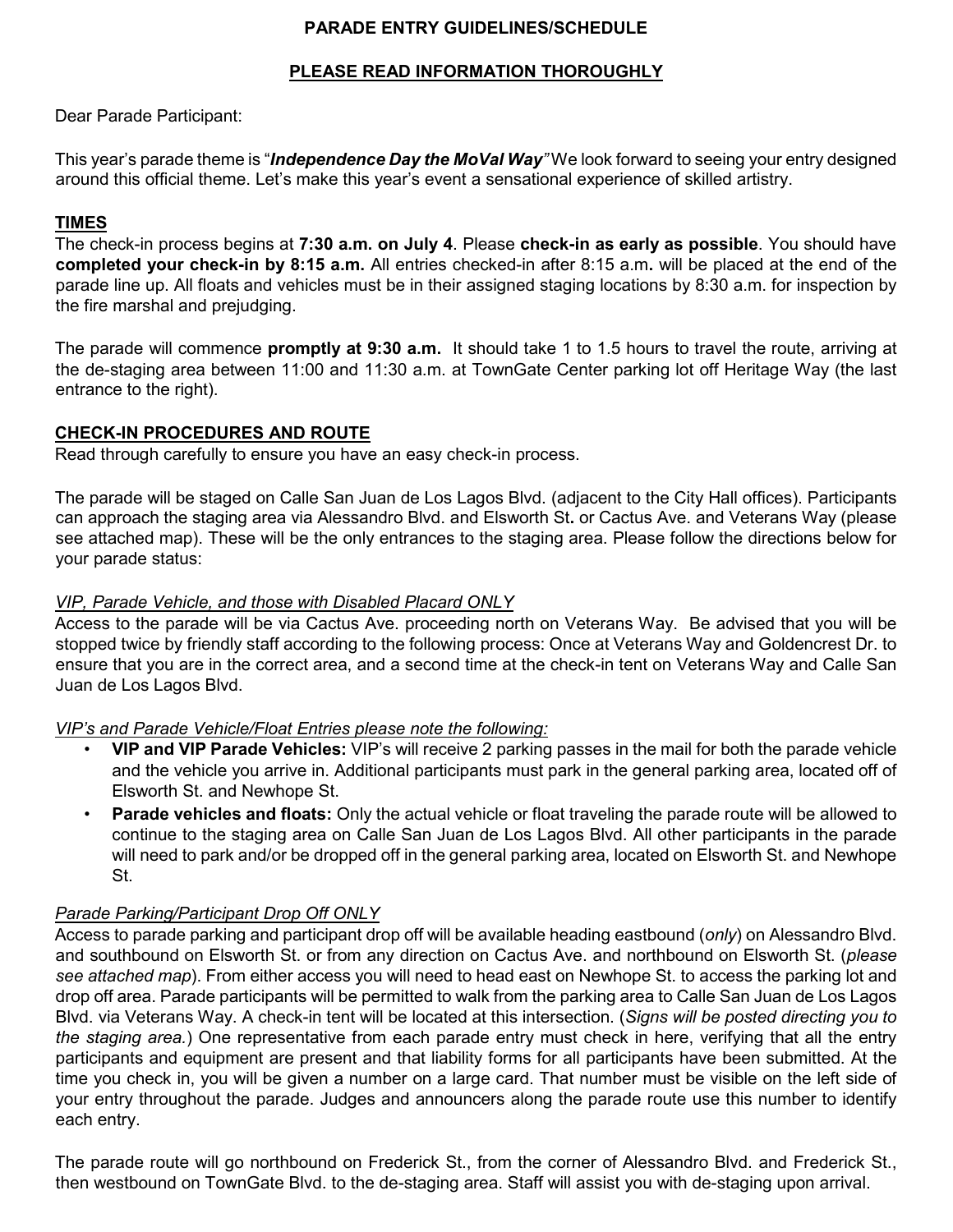# **PARADE ENTRY GUIDELINES/SCHEDULE**

### **PLEASE READ INFORMATION THOROUGHLY**

Dear Parade Participant:

This year's parade theme is "*Independence Day the MoVal Way"* We look forward to seeing your entry designed around this official theme. Let's make this year's event a sensational experience of skilled artistry.

# **TIMES**

The check-in process begins at **7:30 a.m. on July 4**. Please **check-in as early as possible**. You should have **completed your check-in by 8:15 a.m.** All entries checked-in after 8:15 a.m**.** will be placed at the end of the parade line up. All floats and vehicles must be in their assigned staging locations by 8:30 a.m. for inspection by the fire marshal and prejudging.

The parade will commence **promptly at 9:30 a.m.** It should take 1 to 1.5 hours to travel the route, arriving at the de-staging area between 11:00 and 11:30 a.m. at TownGate Center parking lot off Heritage Way (the last entrance to the right).

# **CHECK-IN PROCEDURES AND ROUTE**

Read through carefully to ensure you have an easy check-in process.

The parade will be staged on Calle San Juan de Los Lagos Blvd. (adjacent to the City Hall offices). Participants can approach the staging area via Alessandro Blvd. and Elsworth St**.** or Cactus Ave. and Veterans Way (please see attached map). These will be the only entrances to the staging area. Please follow the directions below for your parade status:

#### *VIP, Parade Vehicle, and those with Disabled Placard ONLY*

Access to the parade will be via Cactus Ave. proceeding north on Veterans Way. Be advised that you will be stopped twice by friendly staff according to the following process: Once at Veterans Way and Goldencrest Dr. to ensure that you are in the correct area, and a second time at the check-in tent on Veterans Way and Calle San Juan de Los Lagos Blvd.

#### *VIP's and Parade Vehicle/Float Entries please note the following:*

- **VIP and VIP Parade Vehicles:** VIP's will receive 2 parking passes in the mail for both the parade vehicle and the vehicle you arrive in. Additional participants must park in the general parking area, located off of Elsworth St. and Newhope St.
- **Parade vehicles and floats:** Only the actual vehicle or float traveling the parade route will be allowed to continue to the staging area on Calle San Juan de Los Lagos Blvd. All other participants in the parade will need to park and/or be dropped off in the general parking area, located on Elsworth St. and Newhope St.

#### *Parade Parking/Participant Drop Off ONLY*

Access to parade parking and participant drop off will be available heading eastbound (*only*) on Alessandro Blvd. and southbound on Elsworth St. or from any direction on Cactus Ave. and northbound on Elsworth St. (*please see attached map*). From either access you will need to head east on Newhope St. to access the parking lot and drop off area. Parade participants will be permitted to walk from the parking area to Calle San Juan de Los Lagos Blvd. via Veterans Way. A check-in tent will be located at this intersection. (*Signs will be posted directing you to the staging area.*) One representative from each parade entry must check in here, verifying that all the entry participants and equipment are present and that liability forms for all participants have been submitted. At the time you check in, you will be given a number on a large card. That number must be visible on the left side of your entry throughout the parade. Judges and announcers along the parade route use this number to identify each entry.

The parade route will go northbound on Frederick St., from the corner of Alessandro Blvd. and Frederick St., then westbound on TownGate Blvd. to the de-staging area. Staff will assist you with de-staging upon arrival.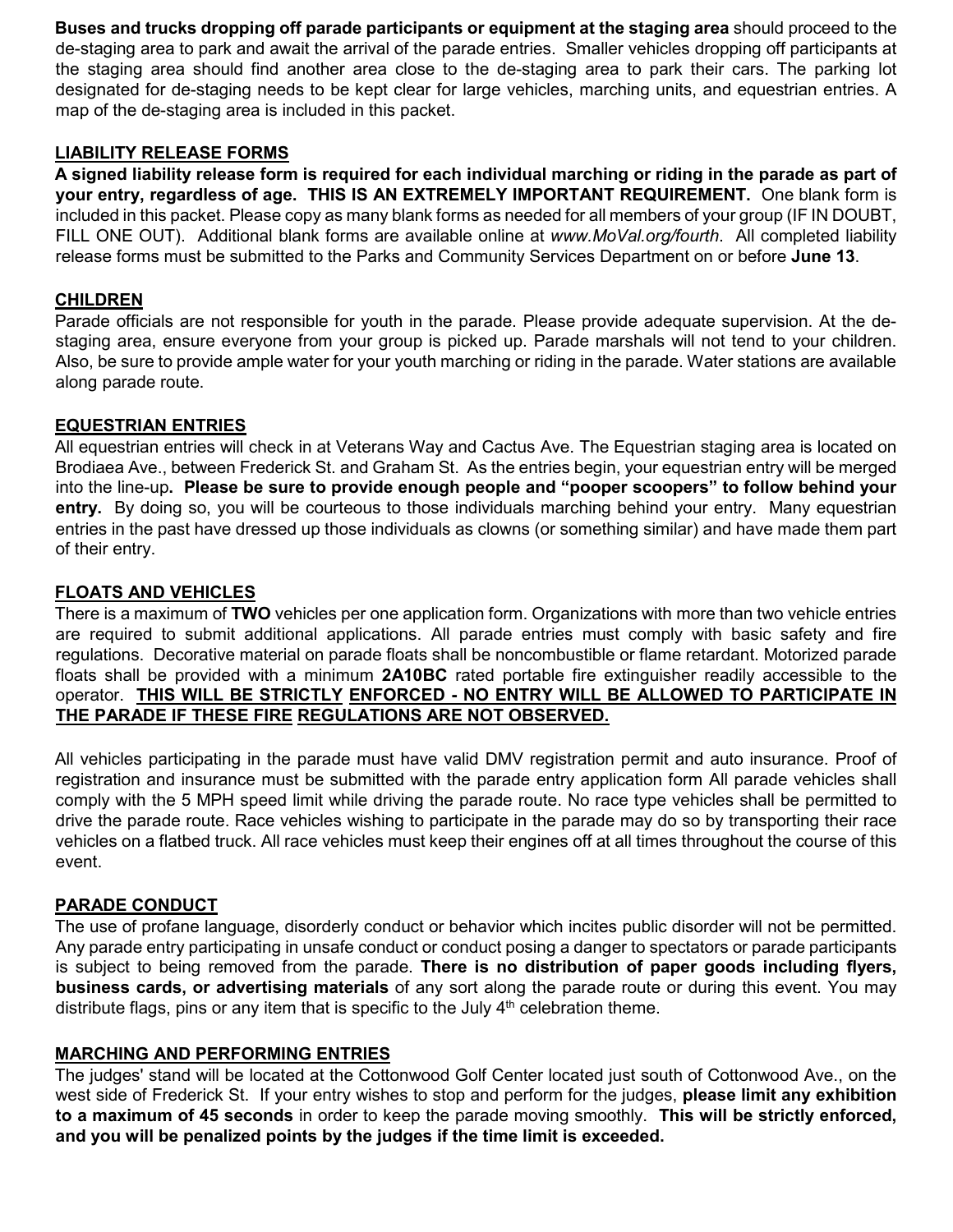**Buses and trucks dropping off parade participants or equipment at the staging area** should proceed to the de-staging area to park and await the arrival of the parade entries. Smaller vehicles dropping off participants at the staging area should find another area close to the de-staging area to park their cars. The parking lot designated for de-staging needs to be kept clear for large vehicles, marching units, and equestrian entries. A map of the de-staging area is included in this packet.

## **LIABILITY RELEASE FORMS**

**A signed liability release form is required for each individual marching or riding in the parade as part of your entry, regardless of age. THIS IS AN EXTREMELY IMPORTANT REQUIREMENT.** One blank form is included in this packet. Please copy as many blank forms as needed for all members of your group (IF IN DOUBT, FILL ONE OUT). Additional blank forms are available online at *www.MoVal.org/fourth*. All completed liability release forms must be submitted to the Parks and Community Services Department on or before **June 13**.

#### **CHILDREN**

Parade officials are not responsible for youth in the parade. Please provide adequate supervision. At the destaging area, ensure everyone from your group is picked up. Parade marshals will not tend to your children. Also, be sure to provide ample water for your youth marching or riding in the parade. Water stations are available along parade route.

#### **EQUESTRIAN ENTRIES**

All equestrian entries will check in at Veterans Way and Cactus Ave. The Equestrian staging area is located on Brodiaea Ave., between Frederick St. and Graham St. As the entries begin, your equestrian entry will be merged into the line-up**. Please be sure to provide enough people and "pooper scoopers" to follow behind your entry.** By doing so, you will be courteous to those individuals marching behind your entry. Many equestrian entries in the past have dressed up those individuals as clowns (or something similar) and have made them part of their entry.

#### **FLOATS AND VEHICLES**

There is a maximum of **TWO** vehicles per one application form. Organizations with more than two vehicle entries are required to submit additional applications. All parade entries must comply with basic safety and fire regulations. Decorative material on parade floats shall be noncombustible or flame retardant. Motorized parade floats shall be provided with a minimum **2A10BC** rated portable fire extinguisher readily accessible to the operator. **THIS WILL BE STRICTLY ENFORCED - NO ENTRY WILL BE ALLOWED TO PARTICIPATE IN THE PARADE IF THESE FIRE REGULATIONS ARE NOT OBSERVED.**

All vehicles participating in the parade must have valid DMV registration permit and auto insurance. Proof of registration and insurance must be submitted with the parade entry application form All parade vehicles shall comply with the 5 MPH speed limit while driving the parade route. No race type vehicles shall be permitted to drive the parade route. Race vehicles wishing to participate in the parade may do so by transporting their race vehicles on a flatbed truck. All race vehicles must keep their engines off at all times throughout the course of this event.

#### **PARADE CONDUCT**

The use of profane language, disorderly conduct or behavior which incites public disorder will not be permitted. Any parade entry participating in unsafe conduct or conduct posing a danger to spectators or parade participants is subject to being removed from the parade. **There is no distribution of paper goods including flyers, business cards, or advertising materials** of any sort along the parade route or during this event. You may distribute flags, pins or any item that is specific to the July  $4<sup>th</sup>$  celebration theme.

#### **MARCHING AND PERFORMING ENTRIES**

The judges' stand will be located at the Cottonwood Golf Center located just south of Cottonwood Ave., on the west side of Frederick St. If your entry wishes to stop and perform for the judges, **please limit any exhibition to a maximum of 45 seconds** in order to keep the parade moving smoothly. **This will be strictly enforced, and you will be penalized points by the judges if the time limit is exceeded.**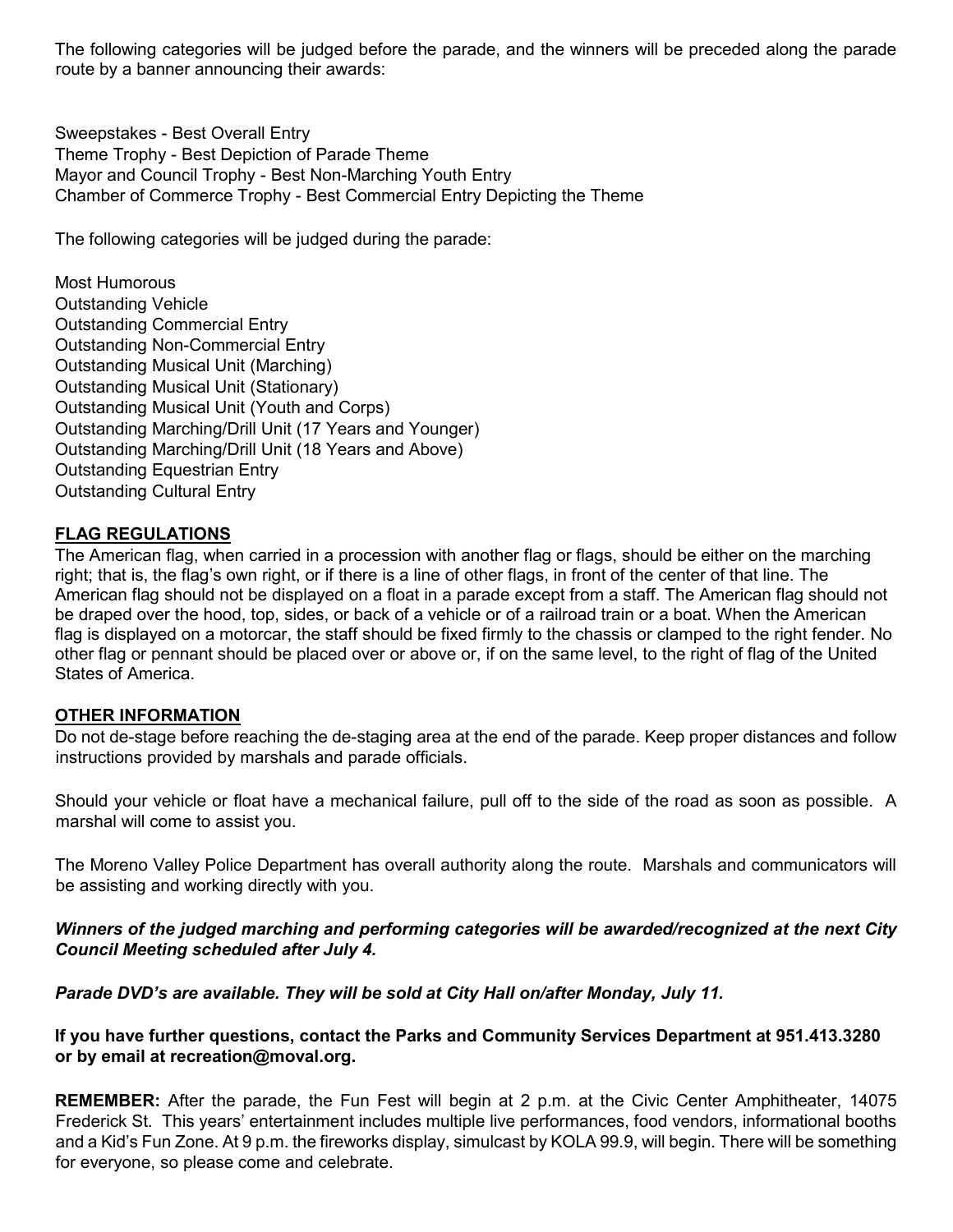The following categories will be judged before the parade, and the winners will be preceded along the parade route by a banner announcing their awards:

Sweepstakes - Best Overall Entry Theme Trophy - Best Depiction of Parade Theme Mayor and Council Trophy - Best Non-Marching Youth Entry Chamber of Commerce Trophy - Best Commercial Entry Depicting the Theme

The following categories will be judged during the parade:

Most Humorous Outstanding Vehicle Outstanding Commercial Entry Outstanding Non-Commercial Entry Outstanding Musical Unit (Marching) Outstanding Musical Unit (Stationary) Outstanding Musical Unit (Youth and Corps) Outstanding Marching/Drill Unit (17 Years and Younger) Outstanding Marching/Drill Unit (18 Years and Above) Outstanding Equestrian Entry Outstanding Cultural Entry

# **FLAG REGULATIONS**

The American flag, when carried in a procession with another flag or flags, should be either on the marching right; that is, the flag's own right, or if there is a line of other flags, in front of the center of that line. The American flag should not be displayed on a float in a parade except from a staff. The American flag should not be draped over the hood, top, sides, or back of a vehicle or of a railroad train or a boat. When the American flag is displayed on a motorcar, the staff should be fixed firmly to the chassis or clamped to the right fender. No other flag or pennant should be placed over or above or, if on the same level, to the right of flag of the United States of America.

#### **OTHER INFORMATION**

Do not de-stage before reaching the de-staging area at the end of the parade. Keep proper distances and follow instructions provided by marshals and parade officials.

Should your vehicle or float have a mechanical failure, pull off to the side of the road as soon as possible. A marshal will come to assist you.

The Moreno Valley Police Department has overall authority along the route. Marshals and communicators will be assisting and working directly with you.

# *Winners of the judged marching and performing categories will be awarded/recognized at the next City Council Meeting scheduled after July 4.*

*Parade DVD's are available. They will be sold at City Hall on/after Monday, July 11.* 

# **If you have further questions, contact the Parks and Community Services Department at 951.413.3280 or by email at recreation@moval.org.**

**REMEMBER:** After the parade, the Fun Fest will begin at 2 p.m. at the Civic Center Amphitheater, 14075 Frederick St. This years' entertainment includes multiple live performances, food vendors, informational booths and a Kid's Fun Zone. At 9 p.m. the fireworks display, simulcast by KOLA 99.9, will begin. There will be something for everyone, so please come and celebrate.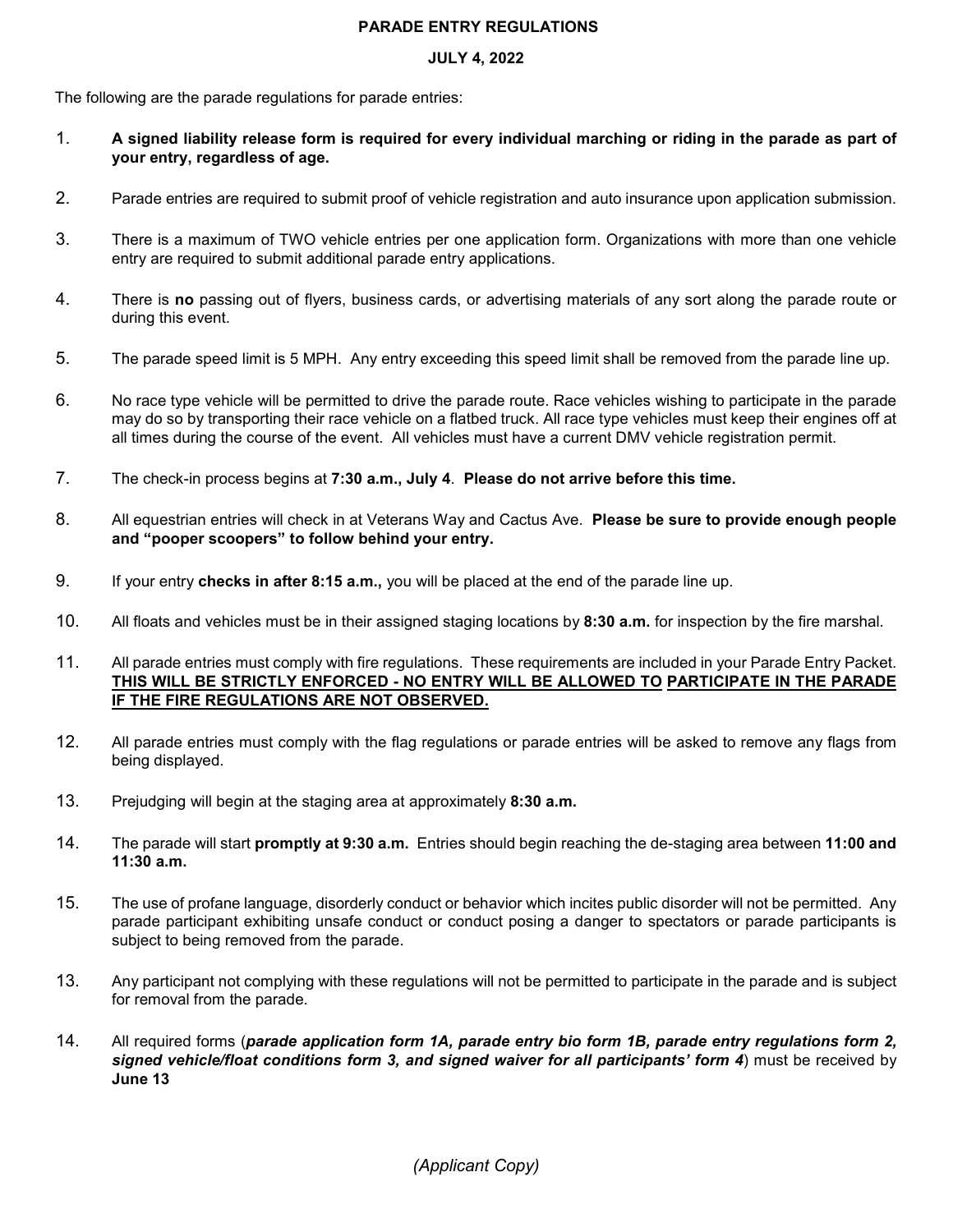#### **PARADE ENTRY REGULATIONS**

#### **JULY 4, 2022**

The following are the parade regulations for parade entries:

- 1. **A signed liability release form is required for every individual marching or riding in the parade as part of your entry, regardless of age.**
- 2. Parade entries are required to submit proof of vehicle registration and auto insurance upon application submission.
- 3. There is a maximum of TWO vehicle entries per one application form. Organizations with more than one vehicle entry are required to submit additional parade entry applications.
- 4. There is **no** passing out of flyers, business cards, or advertising materials of any sort along the parade route or during this event.
- 5. The parade speed limit is 5 MPH. Any entry exceeding this speed limit shall be removed from the parade line up.
- 6. No race type vehicle will be permitted to drive the parade route. Race vehicles wishing to participate in the parade may do so by transporting their race vehicle on a flatbed truck. All race type vehicles must keep their engines off at all times during the course of the event. All vehicles must have a current DMV vehicle registration permit.
- 7. The check-in process begins at **7:30 a.m., July 4**. **Please do not arrive before this time.**
- 8. All equestrian entries will check in at Veterans Way and Cactus Ave. **Please be sure to provide enough people and "pooper scoopers" to follow behind your entry.**
- 9. If your entry **checks in after 8:15 a.m.,** you will be placed at the end of the parade line up.
- 10. All floats and vehicles must be in their assigned staging locations by **8:30 a.m.** for inspection by the fire marshal.
- 11. All parade entries must comply with fire regulations. These requirements are included in your Parade Entry Packet. **THIS WILL BE STRICTLY ENFORCED - NO ENTRY WILL BE ALLOWED TO PARTICIPATE IN THE PARADE IF THE FIRE REGULATIONS ARE NOT OBSERVED.**
- 12. All parade entries must comply with the flag regulations or parade entries will be asked to remove any flags from being displayed.
- 13. Prejudging will begin at the staging area at approximately **8:30 a.m.**
- 14. The parade will start **promptly at 9:30 a.m.** Entries should begin reaching the de-staging area between **11:00 and 11:30 a.m.**
- 15. The use of profane language, disorderly conduct or behavior which incites public disorder will not be permitted. Any parade participant exhibiting unsafe conduct or conduct posing a danger to spectators or parade participants is subject to being removed from the parade.
- 13. Any participant not complying with these regulations will not be permitted to participate in the parade and is subject for removal from the parade.
- 14. All required forms (*parade application form 1A, parade entry bio form 1B, parade entry regulations form 2, signed vehicle/float conditions form 3, and signed waiver for all participants' form 4*) must be received by **June 13**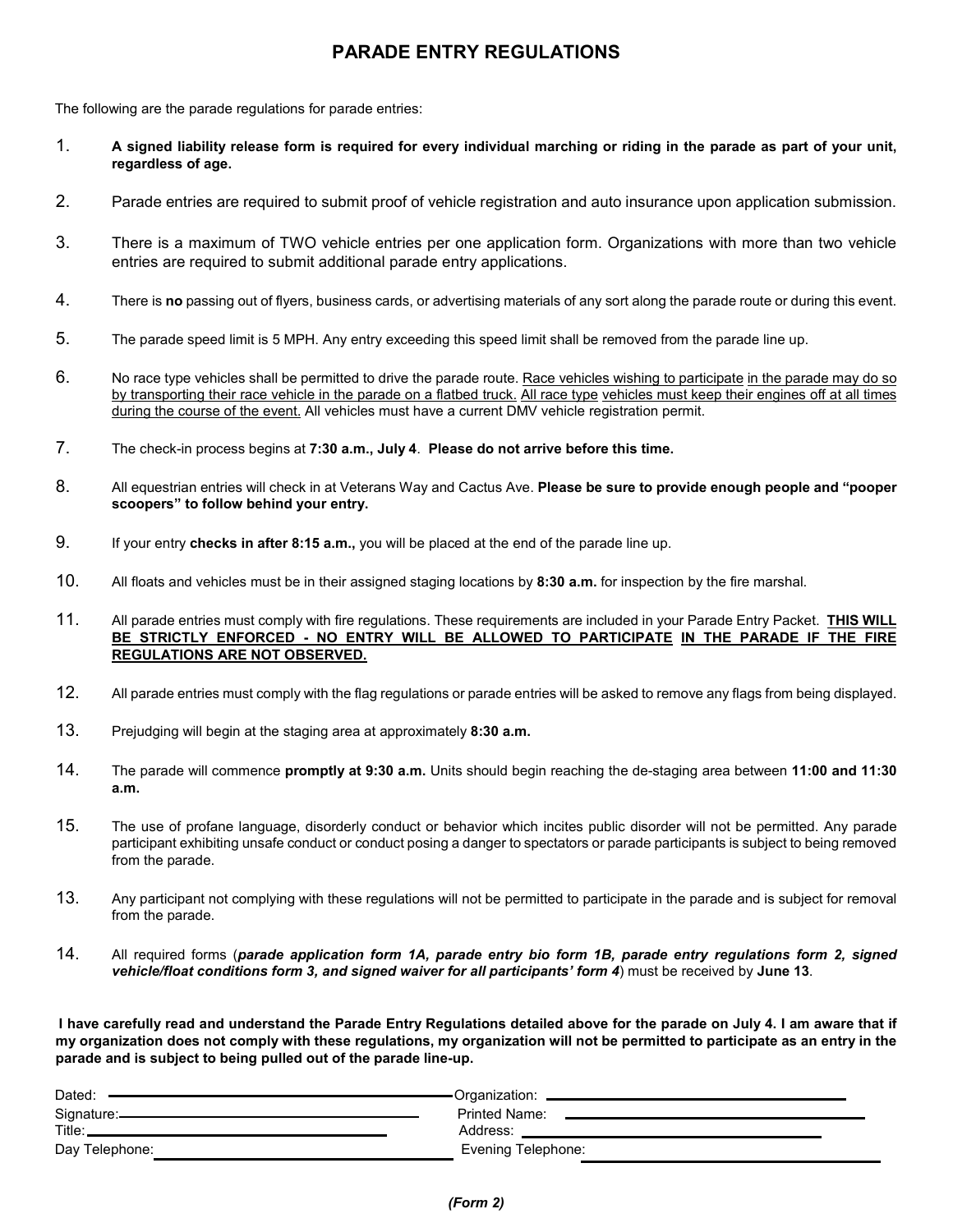# **PARADE ENTRY REGULATIONS**

The following are the parade regulations for parade entries:

- 1. **A signed liability release form is required for every individual marching or riding in the parade as part of your unit, regardless of age.**
- 2. Parade entries are required to submit proof of vehicle registration and auto insurance upon application submission.
- 3. There is a maximum of TWO vehicle entries per one application form. Organizations with more than two vehicle entries are required to submit additional parade entry applications.
- 4. There is **no** passing out of flyers, business cards, or advertising materials of any sort along the parade route or during this event.
- 5. The parade speed limit is 5 MPH. Any entry exceeding this speed limit shall be removed from the parade line up.
- 6. No race type vehicles shall be permitted to drive the parade route. Race vehicles wishing to participate in the parade may do so by transporting their race vehicle in the parade on a flatbed truck. All race type vehicles must keep their engines off at all times during the course of the event. All vehicles must have a current DMV vehicle registration permit.
- 7. The check-in process begins at **7:30 a.m., July 4**. **Please do not arrive before this time.**
- 8. All equestrian entries will check in at Veterans Way and Cactus Ave. **Please be sure to provide enough people and "pooper scoopers" to follow behind your entry.**
- 9. If your entry **checks in after 8:15 a.m.,** you will be placed at the end of the parade line up.
- 10. All floats and vehicles must be in their assigned staging locations by **8:30 a.m.** for inspection by the fire marshal.
- 11. All parade entries must comply with fire regulations. These requirements are included in your Parade Entry Packet. **THIS WILL BE STRICTLY ENFORCED - NO ENTRY WILL BE ALLOWED TO PARTICIPATE IN THE PARADE IF THE FIRE REGULATIONS ARE NOT OBSERVED.**
- 12. All parade entries must comply with the flag regulations or parade entries will be asked to remove any flags from being displayed.
- 13. Prejudging will begin at the staging area at approximately **8:30 a.m.**
- 14. The parade will commence **promptly at 9:30 a.m.** Units should begin reaching the de-staging area between **11:00 and 11:30 a.m.**
- 15. The use of profane language, disorderly conduct or behavior which incites public disorder will not be permitted. Any parade participant exhibiting unsafe conduct or conduct posing a danger to spectators or parade participants is subject to being removed from the parade.
- 13. Any participant not complying with these regulations will not be permitted to participate in the parade and is subject for removal from the parade.
- 14. All required forms (*parade application form 1A, parade entry bio form 1B, parade entry regulations form 2, signed vehicle/float conditions form 3, and signed waiver for all participants' form 4*) must be received by **June 13**.

**I have carefully read and understand the Parade Entry Regulations detailed above for the parade on July 4. I am aware that if my organization does not comply with these regulations, my organization will not be permitted to participate as an entry in the parade and is subject to being pulled out of the parade line-up.** 

| Dated:         | Organization:        |
|----------------|----------------------|
| Signature:     | <b>Printed Name:</b> |
| Title:         | Address:             |
| Day Telephone: | Evening Telephone:   |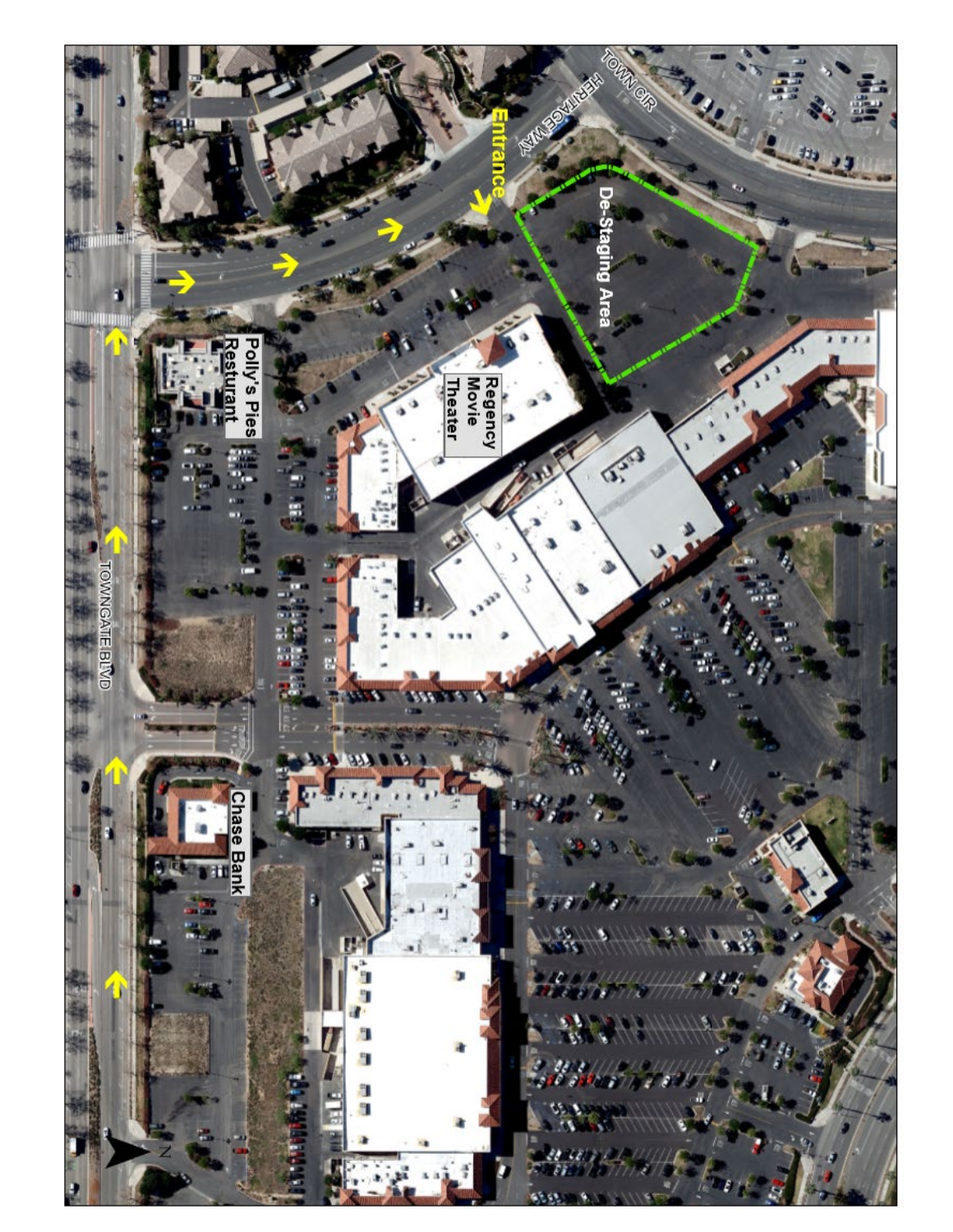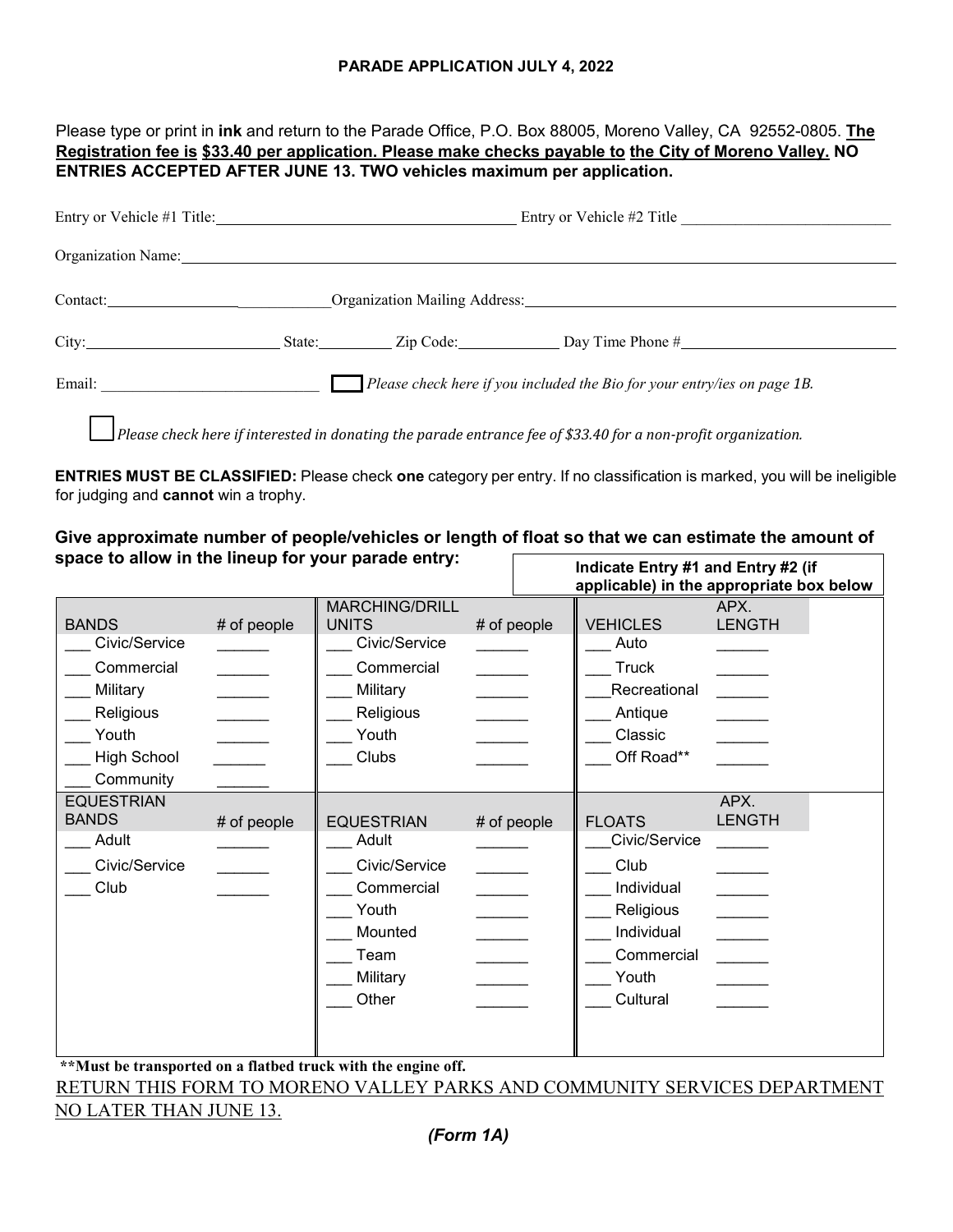#### **PARADE APPLICATION JULY 4, 2022**

Please type or print in **ink** and return to the Parade Office, P.O. Box 88005, Moreno Valley, CA 92552-0805. **The Registration fee is \$33.40 per application. Please make checks payable to the City of Moreno Valley. NO ENTRIES ACCEPTED AFTER JUNE 13. TWO vehicles maximum per application.** 

| Entry or Vehicle #1 Title:            |  | Entry or Vehicle #2 Title                                                                                            |  |
|---------------------------------------|--|----------------------------------------------------------------------------------------------------------------------|--|
| Organization Name:                    |  |                                                                                                                      |  |
|                                       |  |                                                                                                                      |  |
|                                       |  | State: <u>Zip Code:</u> Day Time Phone #                                                                             |  |
| Email: <u>_______________________</u> |  | $\Box$ Please check here if you included the Bio for your entry/ies on page 1B.                                      |  |
|                                       |  | $\Box$ Please check here if interested in donating the parade entrance fee of \$33.40 for a non-profit organization. |  |

**ENTRIES MUST BE CLASSIFIED:** Please check **one** category per entry. If no classification is marked, you will be ineligible for judging and **cannot** win a trophy.

#### **Give approximate number of people/vehicles or length of float so that we can estimate the amount of space to allow in the lineup for your parade entry:**   $\Gamma$ **Indicate Entry #1 and Entry #2 (if**

|                                                                                                     |             | m<br>applicable) in the appropriate box below                                                                          |                                            |                                                                                                                    |                                                   |
|-----------------------------------------------------------------------------------------------------|-------------|------------------------------------------------------------------------------------------------------------------------|--------------------------------------------|--------------------------------------------------------------------------------------------------------------------|---------------------------------------------------|
| <b>BANDS</b><br>Civic/Service<br>Commercial<br>Military<br>Religious<br>Youth<br><b>High School</b> | # of people | <b>MARCHING/DRILL</b><br><b>UNITS</b><br>Civic/Service<br>Commercial<br>Military<br>Religious<br>Youth<br><b>Clubs</b> | # of people                                | <b>VEHICLES</b><br>Auto<br><b>Truck</b><br>Recreational<br>Antique<br>Classic<br>Off Road**                        | APX.<br><b>LENGTH</b>                             |
| Community<br><b>EQUESTRIAN</b><br><b>BANDS</b><br>Adult<br>Civic/Service<br>Club                    | # of people | <b>EQUESTRIAN</b><br>Adult<br>Civic/Service<br>Commercial<br>Youth<br>Mounted<br>Team<br>Military<br>Other             | # of people<br>$\mathcal{L}^{\mathcal{L}}$ | <b>FLOATS</b><br>Civic/Service<br>Club<br>Individual<br>Religious<br>Individual<br>Commercial<br>Youth<br>Cultural | APX.<br><b>LENGTH</b><br>$\overline{\phantom{a}}$ |

**\*\*Must be transported on a flatbed truck with the engine off.** 

RETURN THIS FORM TO MORENO VALLEY PARKS AND COMMUNITY SERVICES DEPARTMENT NO LATER THAN JUNE 13.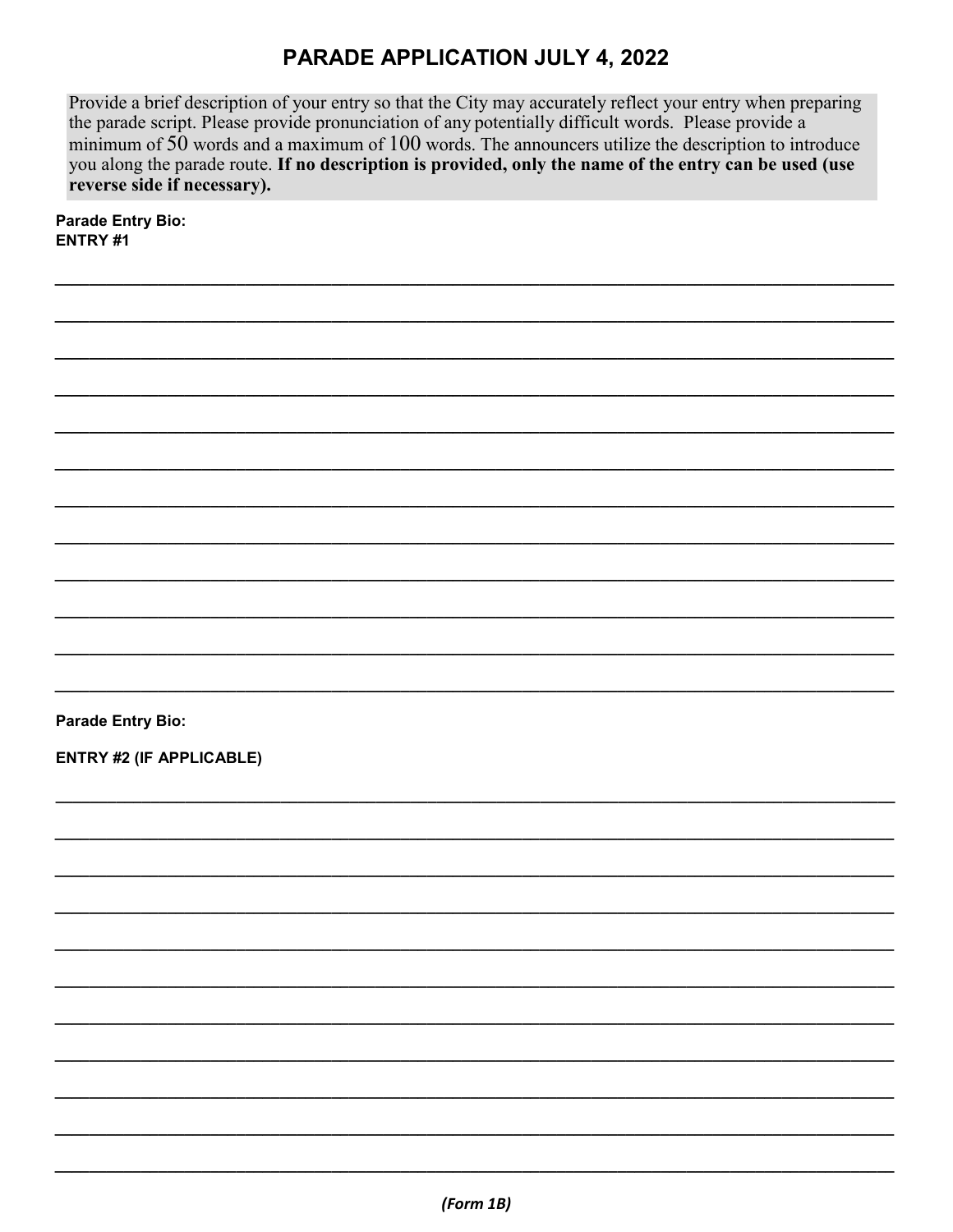# **PARADE APPLICATION JULY 4, 2022**

Provide a brief description of your entry so that the City may accurately reflect your entry when preparing the parade script. Please provide pronunciation of any potentially difficult words. Please provide a minimum of  $50$  words and a maximum of  $100$  words. The announcers utilize the description to introduce you along the parade route. If no description is provided, only the name of the entry can be used (use reverse side if necessary).

**Parade Entry Bio:** ENTRY #1

**Parade Entry Bio:** 

**ENTRY #2 (IF APPLICABLE)**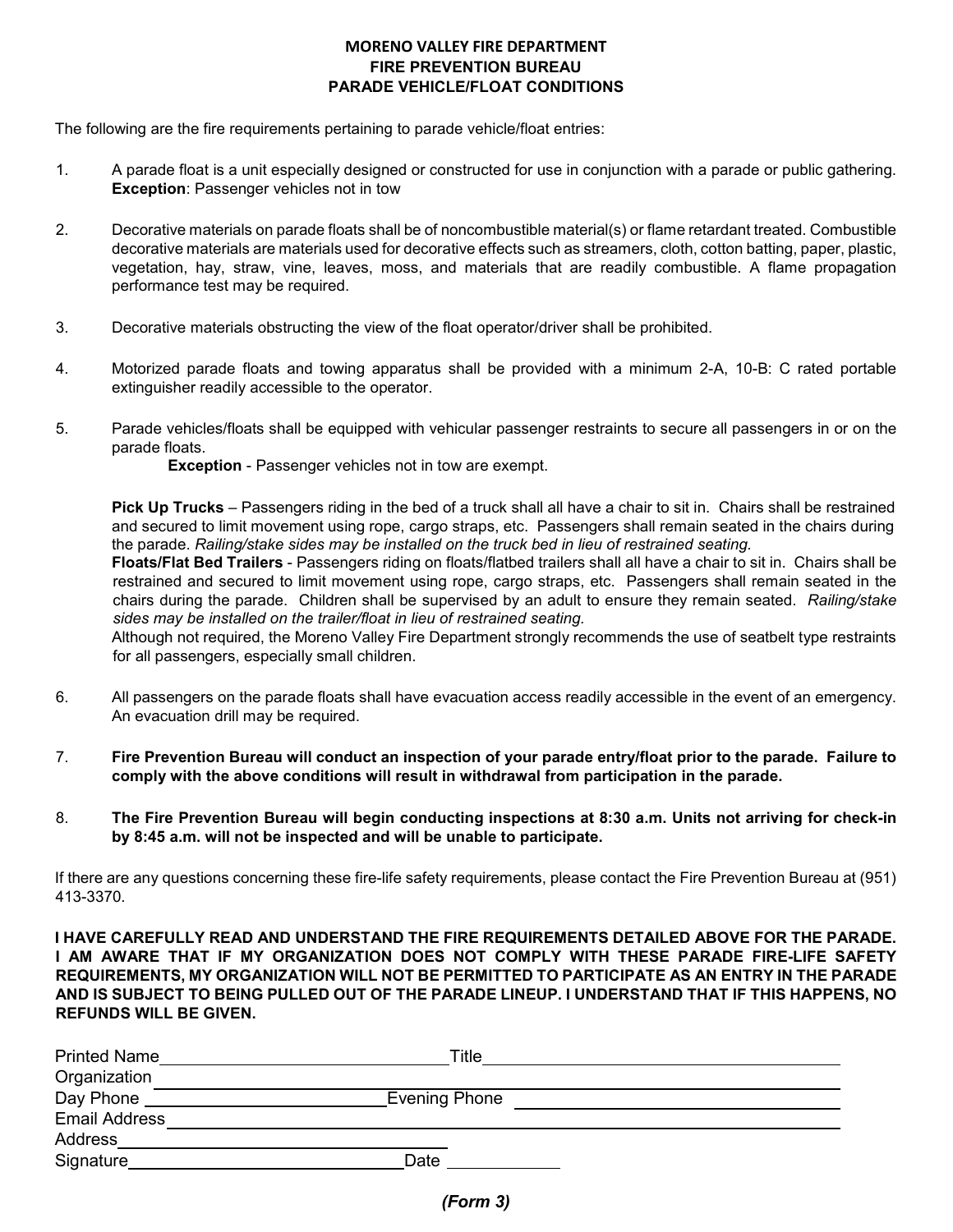#### **MORENO VALLEY FIRE DEPARTMENT FIRE PREVENTION BUREAU PARADE VEHICLE/FLOAT CONDITIONS**

The following are the fire requirements pertaining to parade vehicle/float entries:

- 1. A parade float is a unit especially designed or constructed for use in conjunction with a parade or public gathering. **Exception**: Passenger vehicles not in tow
- 2. Decorative materials on parade floats shall be of noncombustible material(s) or flame retardant treated. Combustible decorative materials are materials used for decorative effects such as streamers, cloth, cotton batting, paper, plastic, vegetation, hay, straw, vine, leaves, moss, and materials that are readily combustible. A flame propagation performance test may be required.
- 3. Decorative materials obstructing the view of the float operator/driver shall be prohibited.
- 4. Motorized parade floats and towing apparatus shall be provided with a minimum 2-A, 10-B: C rated portable extinguisher readily accessible to the operator.
- 5. Parade vehicles/floats shall be equipped with vehicular passenger restraints to secure all passengers in or on the parade floats.

**Exception** - Passenger vehicles not in tow are exempt.

**Pick Up Trucks** – Passengers riding in the bed of a truck shall all have a chair to sit in. Chairs shall be restrained and secured to limit movement using rope, cargo straps, etc. Passengers shall remain seated in the chairs during the parade. *Railing/stake sides may be installed on the truck bed in lieu of restrained seating.* 

**Floats/Flat Bed Trailers** - Passengers riding on floats/flatbed trailers shall all have a chair to sit in. Chairs shall be restrained and secured to limit movement using rope, cargo straps, etc. Passengers shall remain seated in the chairs during the parade. Children shall be supervised by an adult to ensure they remain seated. *Railing/stake sides may be installed on the trailer/float in lieu of restrained seating.* 

Although not required, the Moreno Valley Fire Department strongly recommends the use of seatbelt type restraints for all passengers, especially small children.

- 6. All passengers on the parade floats shall have evacuation access readily accessible in the event of an emergency. An evacuation drill may be required.
- 7. **Fire Prevention Bureau will conduct an inspection of your parade entry/float prior to the parade. Failure to comply with the above conditions will result in withdrawal from participation in the parade.**
- 8. **The Fire Prevention Bureau will begin conducting inspections at 8:30 a.m. Units not arriving for check-in by 8:45 a.m. will not be inspected and will be unable to participate.**

If there are any questions concerning these fire-life safety requirements, please contact the Fire Prevention Bureau at (951) 413-3370.

**I HAVE CAREFULLY READ AND UNDERSTAND THE FIRE REQUIREMENTS DETAILED ABOVE FOR THE PARADE. I AM AWARE THAT IF MY ORGANIZATION DOES NOT COMPLY WITH THESE PARADE FIRE-LIFE SAFETY REQUIREMENTS, MY ORGANIZATION WILL NOT BE PERMITTED TO PARTICIPATE AS AN ENTRY IN THE PARADE AND IS SUBJECT TO BEING PULLED OUT OF THE PARADE LINEUP. I UNDERSTAND THAT IF THIS HAPPENS, NO REFUNDS WILL BE GIVEN.** 

| <b>Printed Name</b>  | Title         |  |
|----------------------|---------------|--|
| Organization         |               |  |
| Day Phone            | Evening Phone |  |
| <b>Email Address</b> |               |  |
| Address              |               |  |
| Signature            | Date          |  |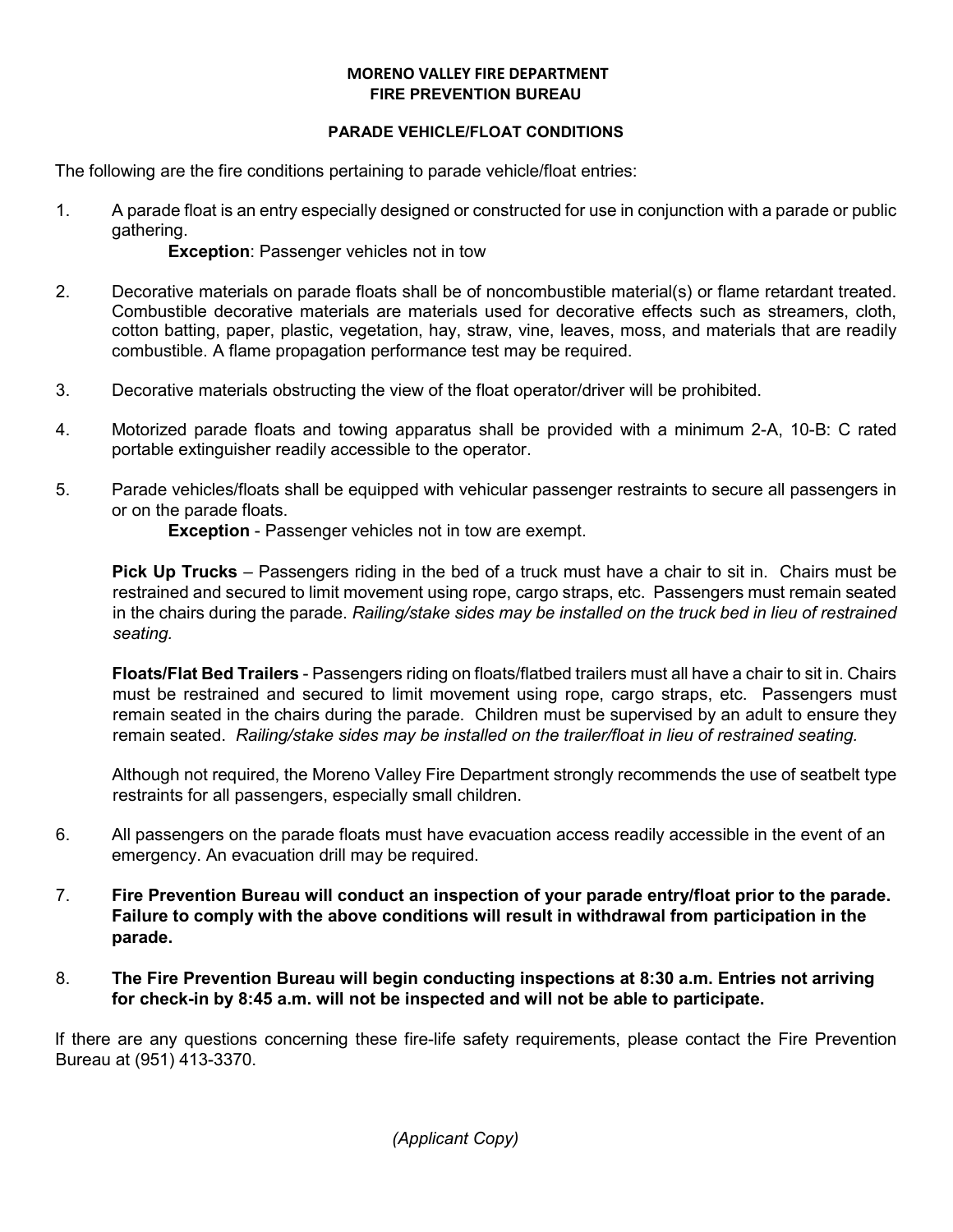#### **MORENO VALLEY FIRE DEPARTMENT FIRE PREVENTION BUREAU**

#### **PARADE VEHICLE/FLOAT CONDITIONS**

The following are the fire conditions pertaining to parade vehicle/float entries:

1. A parade float is an entry especially designed or constructed for use in conjunction with a parade or public gathering.

**Exception: Passenger vehicles not in tow** 

- 2. Decorative materials on parade floats shall be of noncombustible material(s) or flame retardant treated. Combustible decorative materials are materials used for decorative effects such as streamers, cloth, cotton batting, paper, plastic, vegetation, hay, straw, vine, leaves, moss, and materials that are readily combustible. A flame propagation performance test may be required.
- 3. Decorative materials obstructing the view of the float operator/driver will be prohibited.
- 4. Motorized parade floats and towing apparatus shall be provided with a minimum 2-A, 10-B: C rated portable extinguisher readily accessible to the operator.
- 5. Parade vehicles/floats shall be equipped with vehicular passenger restraints to secure all passengers in or on the parade floats.

**Exception** - Passenger vehicles not in tow are exempt.

**Pick Up Trucks** – Passengers riding in the bed of a truck must have a chair to sit in. Chairs must be restrained and secured to limit movement using rope, cargo straps, etc. Passengers must remain seated in the chairs during the parade. *Railing/stake sides may be installed on the truck bed in lieu of restrained seating.* 

**Floats/Flat Bed Trailers** - Passengers riding on floats/flatbed trailers must all have a chair to sit in. Chairs must be restrained and secured to limit movement using rope, cargo straps, etc. Passengers must remain seated in the chairs during the parade. Children must be supervised by an adult to ensure they remain seated. *Railing/stake sides may be installed on the trailer/float in lieu of restrained seating.* 

Although not required, the Moreno Valley Fire Department strongly recommends the use of seatbelt type restraints for all passengers, especially small children.

- 6. All passengers on the parade floats must have evacuation access readily accessible in the event of an emergency. An evacuation drill may be required.
- 7. **Fire Prevention Bureau will conduct an inspection of your parade entry/float prior to the parade. Failure to comply with the above conditions will result in withdrawal from participation in the parade.**
- 8. **The Fire Prevention Bureau will begin conducting inspections at 8:30 a.m. Entries not arriving for check-in by 8:45 a.m. will not be inspected and will not be able to participate.**

If there are any questions concerning these fire-life safety requirements, please contact the Fire Prevention Bureau at (951) 413-3370.